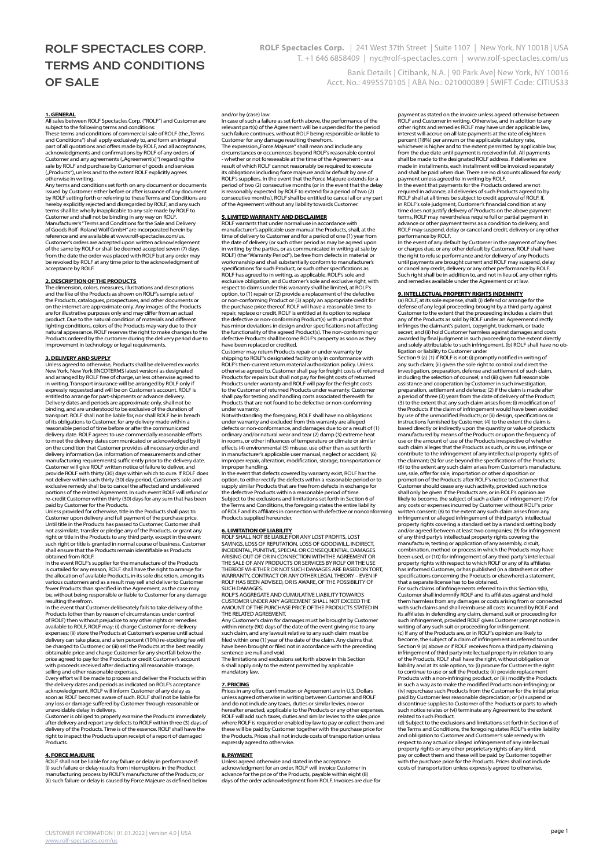# **ROLF SPECTACLES CORP. TERMS AND CONDITIONS OF SALE**

**1. GENERAL**<br>All sales between ROLF Spectacles Corp. ("ROLF") and Customer are<br>subject to the following terms and conditions:<br>These terms and conditions of commercial sale of ROLF (the "Terms

and Conditions") shall apply exclusively to, and form an integral<br>part of all quotations and offers made by ROLF, and all acceptances<br>acknowledgments and confirmations by ROLF of any orders of<br>Customer and any agreements (

otherwise in writing. Any terms and conditions set forth on any document or documents issued by Customer either before or after issuance of any document by ROLF setting forth or referring to these Terms and Conditions are<br>hereby explicitly rejected and disregarded by ROLF, and any such<br>terms shall be wholly inapplicable to any sale made by ROLF to<br>Customer and shall not be of Goods Rolf- Roland Wolf GmbH" are incorporated herein by<br>reference and are available at www.rolf-spectacles.com/us.<br>Customer's orders are accepted upon written acknowledgement<br>of the same by ROLF or shall be deemed acce be revoked by ROLF at any time prior to the acknowledgment of acceptance by ROLF.

**2. DESCRIPTION OF THE PRODUCTS**<br>The dimension, colors, measures, illustrations and descriptions<br>and the like of the Products as shown on ROLF's sample sets of<br>the Products, catalogues, prospectuses, and other documents or are for illustrative purposes only and may differ from an actual product. Due to the natural condition of materials and different<br>lighting conditions, colors of the Products may vary due to their<br>natural appearance. ROLF reserves the right to make changes to the<br>Products ordered by the

**3. DELIVERY AND SUPPLY** Unless agreed to otherwise, Products shall be delivered ex works New York, New York (INCOTERMS latest version) as designated and arranged by ROLF free of charge, unless otherwise agreed to<br>in writing. Transport insurance will be arranged by ROLF only if<br>expressly requested and will be on Customer's account. ROLF is<br>entitled to arrange for part-s Delivery dates and periods are approximate only, shall not be binding, and are understood to be exclusive of the duration of<br>transport. ROLF shall not be liable for, nor shall ROLF be in breach transport. ROLF shall not be liable for, nor shall ROLF be in breach<br>of its obligations to Customer, for any delivery made within a<br>reasonable period of time before or after the communicated<br>delivery date. ROLF agrees to u Customer will give ROLF written notice of failure to deliver, and<br>provide ROLF with thirty (30) days within which to cure. If ROLF does<br>not deliver within such thirty (30) day period, Customer's sole and<br>exclusive remedy s

paid by Customer for the Products.<br>Unless provided for otherwise, title in the Products shall pass to<br>Customer upon delivery and full payment of the purchase price.<br>Until title in the Products has passed to Customer, Custo obtained from ROLF.

In the event ROLF's supplier for the manufacture of the Products is curtailed for any reason, ROLF shall have the right to arrange for the allocation of available Products, in its sole discretion, among its various customers and as a result may sell and deliver to Customer fewer Products than specified in the Agreement, as the case may<br>be, without being responsible or liable to Customer for any damage<br>resulting therefrom.<br>In the event that Customer deliberately fails to take delivery of the

Products (other than by reason of circumstances under control of ROLF) then without prejudice to any other rights or remedies available to ROLF, ROLF may: (i) charge Customer for re-delivery expenses; (ii) store the Products at Customer's expense until actual delivery can take place, and a ten percent (10%) re-stocking fee will be charged to Customer; or (iii) sell the Products at the best readily<br>obtainable price and charge Customer for any shortfall below the<br>price agreed to pay for the Products or credit Customer's account<br>with proceeds receiv

Every effort will be made to process and deliver the Products within the delivery dates and periods as indicated on ROLF's acceptance acknowledgment. ROLF will inform Customer of any delay as soon as ROLF becomes aware of such. ROLF shall not be liable for any loss or damage suffered by Customer through reasonable or

unavoidable delay in delivery.<br>Customer is obliged to properly examine the Products immediately<br>after delivery and report any defects to ROLF within three (3) days of<br>delivery of the Products.Time is of the essence. ROLF s right to inspect the Products upon receipt of a report of damaged Products.

**4. FORCE MAJEURE** ROLF shall not be liable for any failure or delay in performance if: (i) such failure or delay results from interruptions in the Product manufacturing process by ROLF's manufacturer of the Products; or (ii) such failure or delay is caused by Force Majeure as defined below

and/or by (case) law.<br>In case of such a failure as set forth above, the performance of the<br>relevant part(s) of the Agreement will be suspended for the period<br>such failure continues, without ROLF being responsible or liable Customer for any damage resulting therefrom.<br>The expression, "Force Majeure" shall mean and include any<br>circumstances or occurrences beyond ROLF's reasonable control<br>- whether or not foreseeable at the time of the Agreemen ROLF's suppliers. In the event that the Force Majeure extends for a period of two (2) consecutive months (or in the event that the delay is reasonably expected by ROLF to extend for a period of two (2) consecutive months), ROLF shall be entitled to cancel all or any part of the Agreement without any liability towards Customer.

## **5. LIMITED WARRANTY AND DISCLAIMER**

ROLF warrants that under normal use in accordance with manufacturer's applicable user manual the Products, shall, at the time of delivery to Customer and for a period of one (1) year from<br>the date of delivery (or such other period as may be agreed upon<br>in writing by the parties, or as communicated in writing at sale by<br>ROLF) (the "Warranty P workmanship and shall substantially conform to manufacturer's specifications for such Product, or such other specifications as ROLF has agreed to in writing, as applicable. ROLF's sole and exclusive obligation, and Customer's sole and exclusive right, with respect to claims under this warranty shall be limited, at ROLF's<br>option, to (1) repair or (2) provide a replacement of the defective<br>or non-conforming Product or (3) apply an appropriate credit for<br>the purchase price ther the defective or non-conforming Product(s) with a product that<br>has minor deviations in design and/or specifications not affecting<br>the functionality of the agreed Product(s).The non-conforming or<br>defective Products shall be have been replaced or credited.

Customer may return Products repair or under warranty by shipping to ROLF's designated facility only in conformance with ROLF's then-current return material authorization policy. Unless otherwise agreed to, Customer shall pay for freight costs of returned Products for repairs but shall not pay for freight costs of returned<br>Products under warranty and ROLF will pay for the freight costs<br>to the Customer of returned Products under warranty. Customer<br>shall pay for testing and h

under warranty.<br>Notwithstanding the foregoing, ROLF shall have no obligations<br>Notwithstanding and excluded from this warranty are alleged<br>defects or non-conformance, and damages due to or a result of (1)<br>ordinary and/or na in rooms, or other influences of temperature or climate or similar<br>effects (4) environmental (5) misuse, use other than as set forth<br>in manufacturer's applicable user manual, neglect or accident, (6)<br>improper repair, alter

improper handling.<br>In the event that defects covered by warranty exist, ROLF has the<br>In the event that defects covered by warranty exists period or to<br>supply similar Products that are free from defects in exchange for<br>the Subject to the exclusions and limitations set forth in Section 6 of the Terms and Conditions, the foregoing states the entire liability of ROLF and its affiliates in connection with defective or nonconforming Products supplied hereunder.

**6. LIMITATION OF LIABILITY**<br>ROLF SHALL NOT BE LIABLE FOR ANY LOST PROFITS, LOST<br>SAVINGS, LOSS OF REPUTATION, LOSS OF GOODWILL, INDIRECT,<br>INCIDENTAL, PUNITIVE, SPECIAL OR CONSEQUENTIAL DAMAGES ARISING OUT OF OR IN CONNECTION WITH THE AGREEMENT OR THE SALE OF ANY PRODUCTS OR SERVICES BY ROLF OR THE USE<br>THEREOF WHETHER OR NOT SUCH DAMAGES ARE BASED ON TORT,<br>WARRANTY, CONTRACT OR ANY OTHER LEGAL THEORY – EVEN IF<br>ROLF HAS BEEN ADVISED, OR IS AWARE, OF THE POSSIBILITY O SUCH DAMAGES.

ROLF'S AGGREGATE AND CUMULATIVE LIABILITY TOWARDS CUSTOMER UNDER ANY AGREEMENT SHALL NOT EXCEED THE<br>AMOUNT OF THE PURCHASE PRICE OF THE PRODUCTS STATED IN<br>THE RELATED AGREEMENT.<br>Any Customer's claim for damages must be brought by Customer

within ninety (90) days of the date of the event giving rise to any such claim, and any lawsuit relative to any such claim must be filed within one (1) year of the date of the claim. Any claims that have been brought or filed not in accordance with the preceding sentence are null and void.

The limitations and exclusions set forth above in this Section 6 shall apply only to the extent permitted by applicable mandatory law.

## **7. PRICING**

Prices in any offer, confirmation or Agreement are in U.S. Dollars<br>unless agreed otherwise in writing between Customer and ROLF<br>and do not include any taxes, duties or similar levies, now or<br>hereafter enacted, applicable t ROLF will add such taxes, duties and similar levies to the sales price where ROLF is required or enabled by law to pay or collect them and these will be paid by Customer together with the purchase price for the Products. Prices shall not include costs of transportation unless expressly agreed to otherwise.

## **8. PAYMENT**

Unless agreed otherwise and stated in the acceptance acknowledgment for an order, ROLF will invoice Customer in advance for the price of the Products, payable within eight (8) days of the order acknowledgment from ROLF. Invoices are due for payment as stated on the invoice unless agreed otherwise between ROLF and Customer in writing. Otherwise, and in addition to any other rights and remedies ROLF may have under applicable law, interest will accrue on all late payments at the rate of eighteen percent (18%) per annum or the applicable statutory rate,<br>whichever is higher and to the extent permitted by applicable law,<br>from the due date until payment is received in full. All payments<br>shall be made to the designated

and shall be paid when due. There are no discounts allowed for early<br>payment unless agreed to in writing by ROLF.<br>In the event that payments for the Products ordered are not<br>required in advance, all deliveries of such Prod advance or other payment terms as a condition to delivery, and ROLF may suspend, delay or cancel and credit, delivery or any other performance by ROLF.

In the event of any default by Customer in the payment of any fees or charges due, or any other default by Customer, ROLF shall have the right to refuse performance and/or delivery of any Products until payments are brought current and ROLF may suspend, delay<br>or cancel any credit, delivery or any other performance by ROLF.<br>Such right shall be in addition to, and not in lieu of, any other rights<br>and remedies availabl

**9. INTELLECTUAL PROPERTY RIGHTS INDEMNITY** (a) ROLF, at its sole expense, shall: (i) defend or arrange for the defense of any legal proceeding brought by a third party against Customer to the extent that the proceeding includes a claim that<br>any of the Products as sold by ROLF under an Agreement directly<br>infringes the claimant's patent, copyright, trademark, or trade<br>secret; and (ii) hold Custome ligation or liability to Customer under

Section 9 (a) (1) if ROLF is not: (i) promptly notified in writing of any such claim; (ii) given the sole right to control and direct the investigation, preparation, defense and settlement of such claim, including the selection of counsel; and (iii) given full reasonable<br>assistance and cooperation by Customer in such investigation,<br>preparation, settlement and defense; (2) if the claim is made after<br>a period of three (3) ye the Products if the claim of infringement would have been avoided<br>by use of the unmodified Products; or (ii) design, specifications or<br>instructions furnished by Customer; (4) to the extent the claim is<br>based directly or in use or the amount of use of the Products irrespective of whether such claim alleges that the Products as such, or its use, infringe or contribute to the infringement of any intellectual property rights of the claimant; (5) for use beyond the specifications of the Products; (6) to the extent any such claim arises from Customer's manufacture<br>use, sale, offer for sale, importation or other disposition or<br>promotion of the Products after ROLF's notice to Customer that<br>Customer should cease any su likely to become, the subject of such a claim of infringement; (7) for<br>any costs or expenses incurred by Customer without ROLF's prior<br>written consent; (8) to the extent any such claim arises from any<br>written consent; (8) and/or agreed between at least two companies; (9) for infringement<br>of any third party's intellectual property rights covering the<br>manufacture, testing or application of any assembly, circuit,<br>combination, method or process been used, or (10) for infringement of any third party's intellectual<br>property rights with respect to which ROLF or any of its affiliates<br>has informed Customer, or has published (in a datasheet or other<br>specifications conc that a separate license has to be obtained.

For such claims of infringements referred to in this Section 9(b),<br>Customer shall indemnity ROLF and its affiliates against and hold<br>them harmless from any damages or costs arising from or connected<br>with such claims and sh writing of any such suit or proceeding for infringement. (c) If any of the Products are, or in ROLF's opinion are likely to become, the subject of a claim of infringement as referred to under Section 9 (a) above or if ROLF receives from a third party claiming<br>infringement of third party intellectual property in relation to any<br>of the Products, ROLF shall have the right, without obligation or<br>liability and at it Products with a non-infringing product, or (iii) modify the Products in such a way as to make the modified Products non-infringing; or (iv) repurchase such Products from the Customer for the initial price paid by Customer less reasonable depreciation; or (v) suspend or discontinue supplies to Customer of the Products or parts to which such notice relates or (vi) terminate any Agreement to the extent

related to such Product. (d) Subject to the exclusions and limitations set forth in Section 6 of the Terms and Conditions, the foregoing states ROLF's entire liability and obligation to Customer and Customer's sole remedy with respect to any actual or alleged infringement of any intellectual property rights or any other proprietary rights of any kind. pay or collect them and these will be paid by Customer together with the purchase price for the Products. Prices shall not include costs of transportation unless expressly agreed to otherwise.